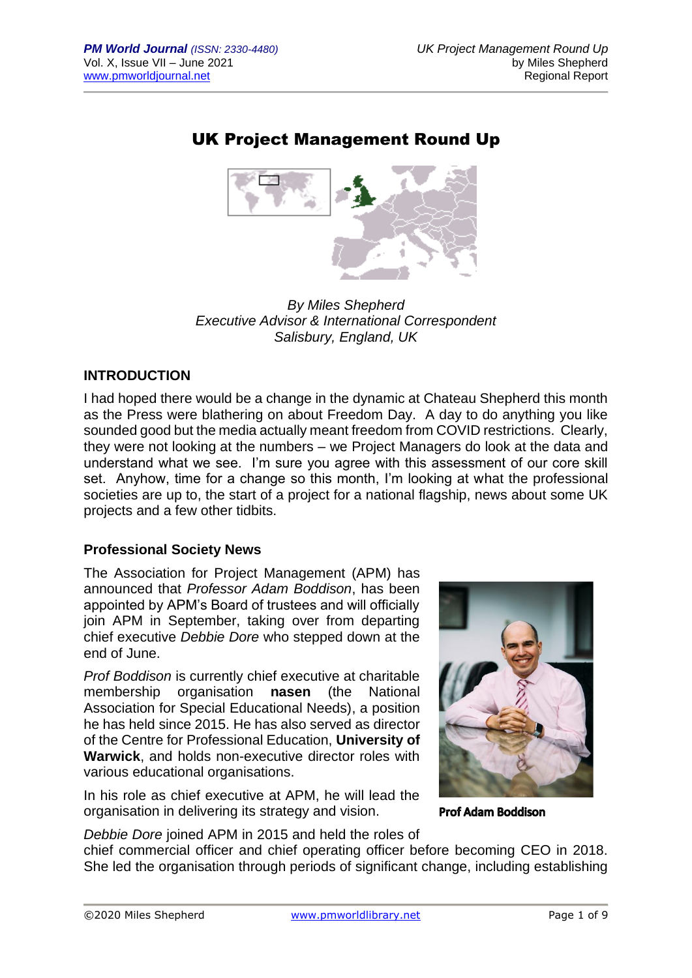# UK Project Management Round Up



*By Miles Shepherd Executive Advisor & International Correspondent Salisbury, England, UK*

# **INTRODUCTION**

I had hoped there would be a change in the dynamic at Chateau Shepherd this month as the Press were blathering on about Freedom Day. A day to do anything you like sounded good but the media actually meant freedom from COVID restrictions. Clearly, they were not looking at the numbers – we Project Managers do look at the data and understand what we see. I'm sure you agree with this assessment of our core skill set. Anyhow, time for a change so this month, I'm looking at what the professional societies are up to, the start of a project for a national flagship, news about some UK projects and a few other tidbits.

## **Professional Society News**

The Association for Project Management (APM) has announced that *Professor Adam Boddison*, has been appointed by APM's Board of trustees and will officially join APM in September, taking over from departing chief executive *Debbie Dore* who stepped down at the end of June.

*Prof Boddison* is currently chief executive at charitable membership organisation **nasen** (the National Association for Special Educational Needs), a position he has held since 2015. He has also served as director of the Centre for Professional Education, **University of Warwick**, and holds non-executive director roles with various educational organisations.

In his role as chief executive at APM, he will lead the organisation in delivering its strategy and vision.



Prof Adam Boddison

*Debbie Dore* joined APM in 2015 and held the roles of chief commercial officer and chief operating officer before becoming CEO in 2018. She led the organisation through periods of significant change, including establishing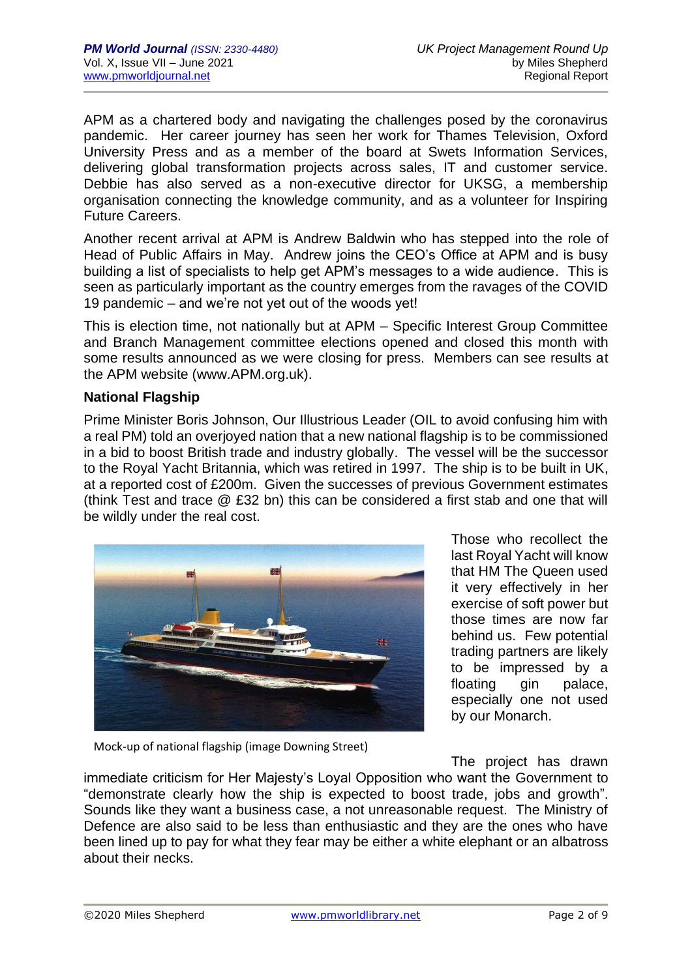APM as a chartered body and navigating the challenges posed by the coronavirus pandemic. Her career journey has seen her work for Thames Television, Oxford University Press and as a member of the board at Swets Information Services, delivering global transformation projects across sales, IT and customer service. Debbie has also served as a non-executive director for UKSG, a membership organisation connecting the knowledge community, and as a volunteer for Inspiring Future Careers.

Another recent arrival at APM is Andrew Baldwin who has stepped into the role of Head of Public Affairs in May. Andrew joins the CEO's Office at APM and is busy building a list of specialists to help get APM's messages to a wide audience. This is seen as particularly important as the country emerges from the ravages of the COVID 19 pandemic – and we're not yet out of the woods yet!

This is election time, not nationally but at APM – Specific Interest Group Committee and Branch Management committee elections opened and closed this month with some results announced as we were closing for press. Members can see results at the APM website (www.APM.org.uk).

## **National Flagship**

Prime Minister Boris Johnson, Our Illustrious Leader (OIL to avoid confusing him with a real PM) told an overjoyed nation that a new national flagship is to be commissioned in a bid to boost British trade and industry globally. The vessel will be the successor to the Royal Yacht Britannia, which was retired in 1997. The ship is to be built in UK, at a reported cost of £200m. Given the successes of previous Government estimates (think Test and trace @ £32 bn) this can be considered a first stab and one that will be wildly under the real cost.



Those who recollect the last Royal Yacht will know that HM The Queen used it very effectively in her exercise of soft power but those times are now far behind us. Few potential trading partners are likely to be impressed by a floating gin palace, especially one not used by our Monarch.

Mock-up of national flagship (image Downing Street)

The project has drawn

immediate criticism for Her Majesty's Loyal Opposition who want the Government to "demonstrate clearly how the ship is expected to boost trade, jobs and growth". Sounds like they want a business case, a not unreasonable request. The Ministry of Defence are also said to be less than enthusiastic and they are the ones who have been lined up to pay for what they fear may be either a white elephant or an albatross about their necks.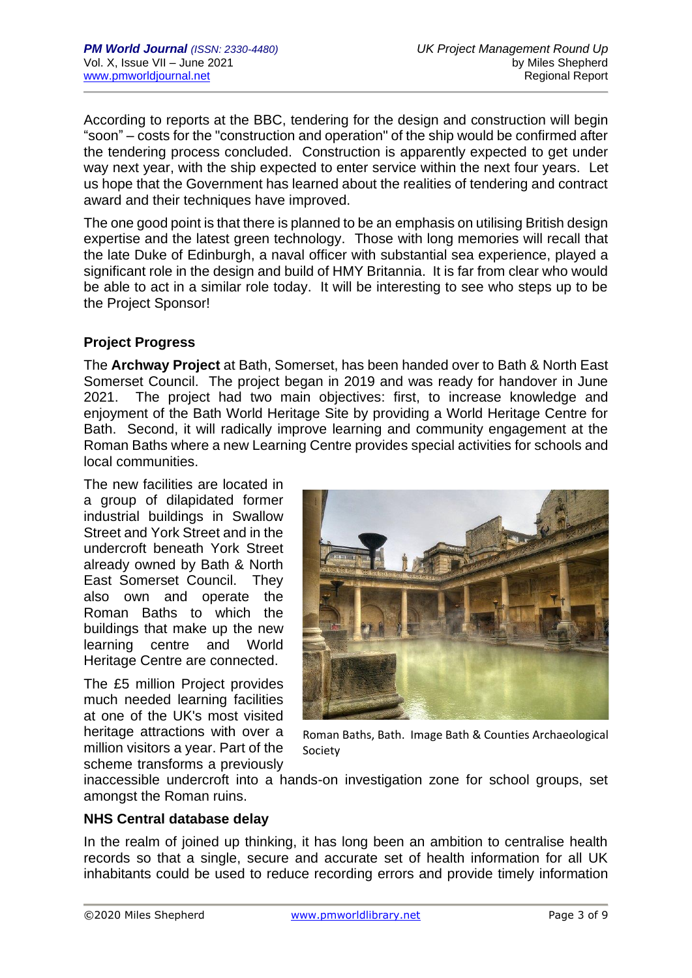According to reports at the BBC, tendering for the design and construction will begin "soon" – costs for the "construction and operation" of the ship would be confirmed after the tendering process concluded. Construction is apparently expected to get under way next year, with the ship expected to enter service within the next four years. Let us hope that the Government has learned about the realities of tendering and contract award and their techniques have improved.

The one good point is that there is planned to be an emphasis on utilising British design expertise and the latest green technology. Those with long memories will recall that the late Duke of Edinburgh, a naval officer with substantial sea experience, played a significant role in the design and build of HMY Britannia. It is far from clear who would be able to act in a similar role today. It will be interesting to see who steps up to be the Project Sponsor!

## **Project Progress**

The **Archway Project** at Bath, Somerset, has been handed over to Bath & North East Somerset Council. The project began in 2019 and was ready for handover in June 2021. The project had two main objectives: first, to increase knowledge and enjoyment of the Bath World Heritage Site by providing a World Heritage Centre for Bath. Second, it will radically improve learning and community engagement at the Roman Baths where a new Learning Centre provides special activities for schools and local communities.

The new facilities are located in a group of dilapidated former industrial buildings in Swallow Street and York Street and in the undercroft beneath York Street already owned by Bath & North East Somerset Council. They also own and operate the Roman Baths to which the buildings that make up the new learning centre and World Heritage Centre are connected.

The £5 million Project provides much needed learning facilities at one of the UK's most visited heritage attractions with over a million visitors a year. Part of the scheme transforms a previously



Roman Baths, Bath. Image Bath & Counties Archaeological Society

inaccessible undercroft into a hands-on investigation zone for school groups, set amongst the Roman ruins.

## **NHS Central database delay**

In the realm of joined up thinking, it has long been an ambition to centralise health records so that a single, secure and accurate set of health information for all UK inhabitants could be used to reduce recording errors and provide timely information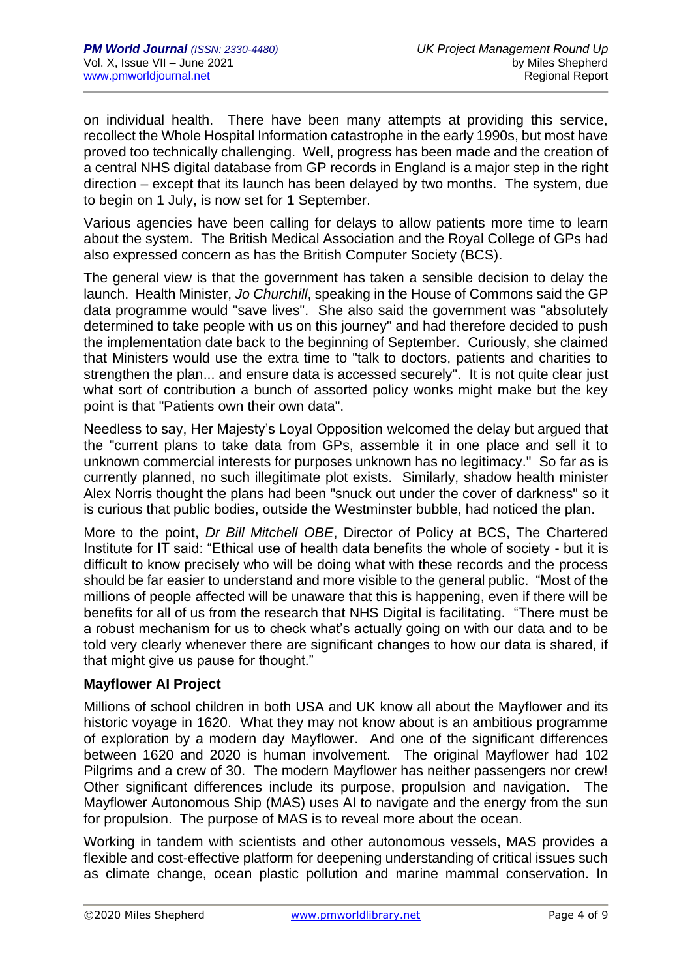on individual health. There have been many attempts at providing this service, recollect the Whole Hospital Information catastrophe in the early 1990s, but most have proved too technically challenging. Well, progress has been made and the creation of a central NHS digital database from GP records in England is a major step in the right direction – except that its launch has been delayed by two months. The system, due to begin on 1 July, is now set for 1 September.

Various agencies have been calling for delays to allow patients more time to learn about the system. The British Medical Association and the Royal College of GPs had also expressed concern as has the British Computer Society (BCS).

The general view is that the government has taken a sensible decision to delay the launch. Health Minister, *Jo Churchill*, speaking in the House of Commons said the GP data programme would "save lives". She also said the government was "absolutely determined to take people with us on this journey" and had therefore decided to push the implementation date back to the beginning of September. Curiously, she claimed that Ministers would use the extra time to "talk to doctors, patients and charities to strengthen the plan... and ensure data is accessed securely". It is not quite clear just what sort of contribution a bunch of assorted policy wonks might make but the key point is that "Patients own their own data".

Needless to say, Her Majesty's Loyal Opposition welcomed the delay but argued that the "current plans to take data from GPs, assemble it in one place and sell it to unknown commercial interests for purposes unknown has no legitimacy." So far as is currently planned, no such illegitimate plot exists. Similarly, shadow health minister Alex Norris thought the plans had been "snuck out under the cover of darkness" so it is curious that public bodies, outside the Westminster bubble, had noticed the plan.

More to the point, *Dr Bill Mitchell OBE*, Director of Policy at BCS, The Chartered Institute for IT said: "Ethical use of health data benefits the whole of society - but it is difficult to know precisely who will be doing what with these records and the process should be far easier to understand and more visible to the general public. "Most of the millions of people affected will be unaware that this is happening, even if there will be benefits for all of us from the research that NHS Digital is facilitating. "There must be a robust mechanism for us to check what's actually going on with our data and to be told very clearly whenever there are significant changes to how our data is shared, if that might give us pause for thought."

## **Mayflower AI Project**

Millions of school children in both USA and UK know all about the Mayflower and its historic voyage in 1620. What they may not know about is an ambitious programme of exploration by a modern day Mayflower. And one of the significant differences between 1620 and 2020 is human involvement. The original Mayflower had 102 Pilgrims and a crew of 30. The modern Mayflower has neither passengers nor crew! Other significant differences include its purpose, propulsion and navigation. The Mayflower Autonomous Ship (MAS) uses AI to navigate and the energy from the sun for propulsion. The purpose of MAS is to reveal more about the ocean.

Working in tandem with scientists and other autonomous vessels, MAS provides a flexible and cost-effective platform for deepening understanding of critical issues such as climate change, ocean plastic pollution and marine mammal conservation. In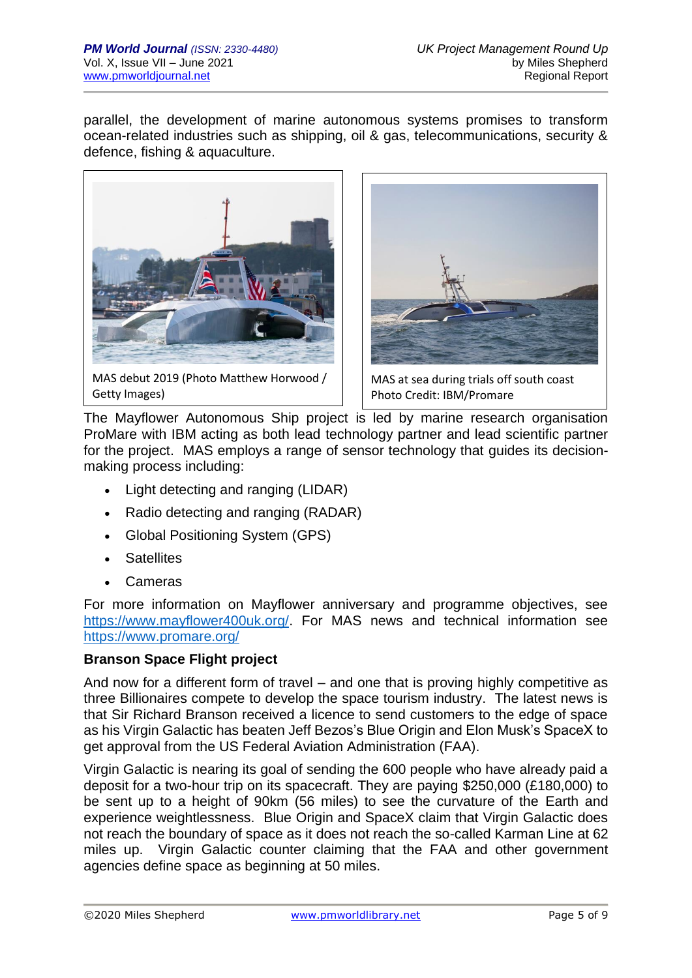parallel, the development of marine autonomous systems promises to transform ocean-related industries such as shipping, oil & gas, telecommunications, security & defence, fishing & aquaculture.



MAS debut 2019 (Photo Matthew Horwood / Getty Images)



MAS at sea during trials off south coast Photo Credit: IBM/Promare

The Mayflower Autonomous Ship project is led by marine research organisation ProMare with IBM acting as both lead technology partner and lead scientific partner for the project. MAS employs a range of sensor technology that guides its decisionmaking process including:

- Light detecting and ranging (LIDAR)
- Radio detecting and ranging (RADAR)
- Global Positioning System (GPS)
- Satellites
- Cameras

For more information on Mayflower anniversary and programme objectives, see [https://www.mayflower400uk.org/.](https://www.mayflower400uk.org/) For MAS news and technical information see <https://www.promare.org/>

# **Branson Space Flight project**

And now for a different form of travel – and one that is proving highly competitive as three Billionaires compete to develop the space tourism industry. The latest news is that Sir Richard Branson received a licence to send customers to the edge of space as his Virgin Galactic has beaten Jeff Bezos's Blue Origin and Elon Musk's SpaceX to get approval from the US Federal Aviation Administration (FAA).

Virgin Galactic is nearing its goal of sending the 600 people who have already paid a deposit for a two-hour trip on its spacecraft. They are paying \$250,000 (£180,000) to be sent up to a height of 90km (56 miles) to see the curvature of the Earth and experience weightlessness. Blue Origin and SpaceX claim that Virgin Galactic does not reach the boundary of space as it does not reach the so-called Karman Line at 62 miles up. Virgin Galactic counter claiming that the FAA and other government agencies define space as beginning at 50 miles.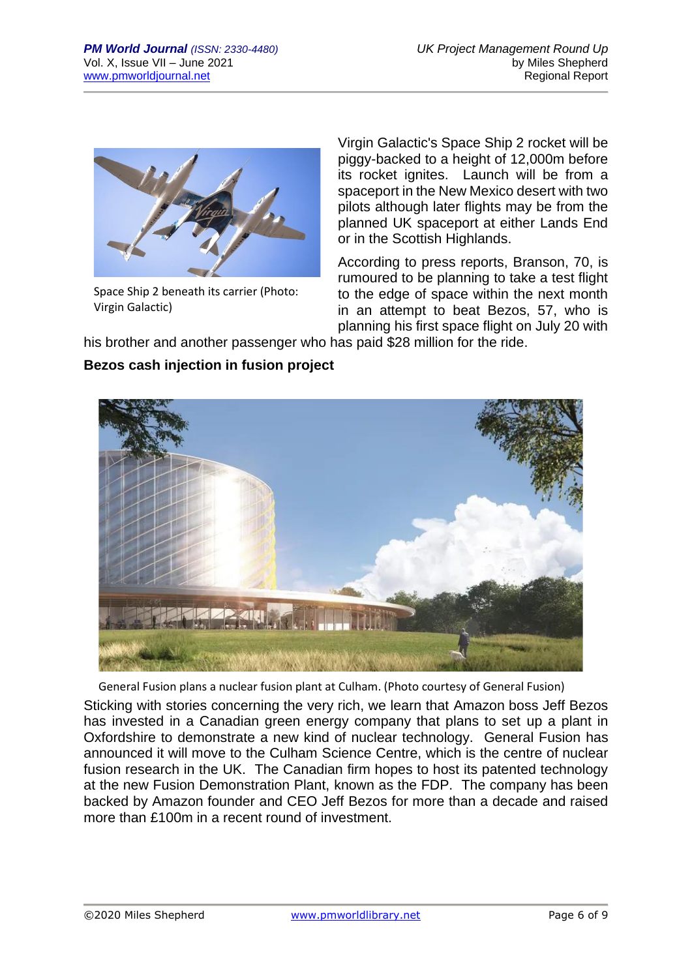

Space Ship 2 beneath its carrier (Photo: Virgin Galactic)

Virgin Galactic's Space Ship 2 rocket will be piggy-backed to a height of 12,000m before its rocket ignites. Launch will be from a spaceport in the New Mexico desert with two pilots although later flights may be from the planned UK spaceport at either Lands End or in the Scottish Highlands.

According to press reports, Branson, 70, is rumoured to be planning to take a test flight to the edge of space within the next month in an attempt to beat Bezos, 57, who is planning his first space flight on July 20 with

his brother and another passenger who has paid \$28 million for the ride.

# **Bezos cash injection in fusion project**



General Fusion plans a nuclear fusion plant at Culham. (Photo courtesy of General Fusion)

Sticking with stories concerning the very rich, we learn that Amazon boss Jeff Bezos has invested in a Canadian green energy company that plans to set up a plant in Oxfordshire to demonstrate a new kind of nuclear technology. General Fusion has announced it will move to the Culham Science Centre, which is the centre of nuclear fusion research in the UK. The Canadian firm hopes to host its patented technology at the new Fusion Demonstration Plant, known as the FDP. The company has been backed by Amazon founder and CEO Jeff Bezos for more than a decade and raised more than £100m in a recent round of investment.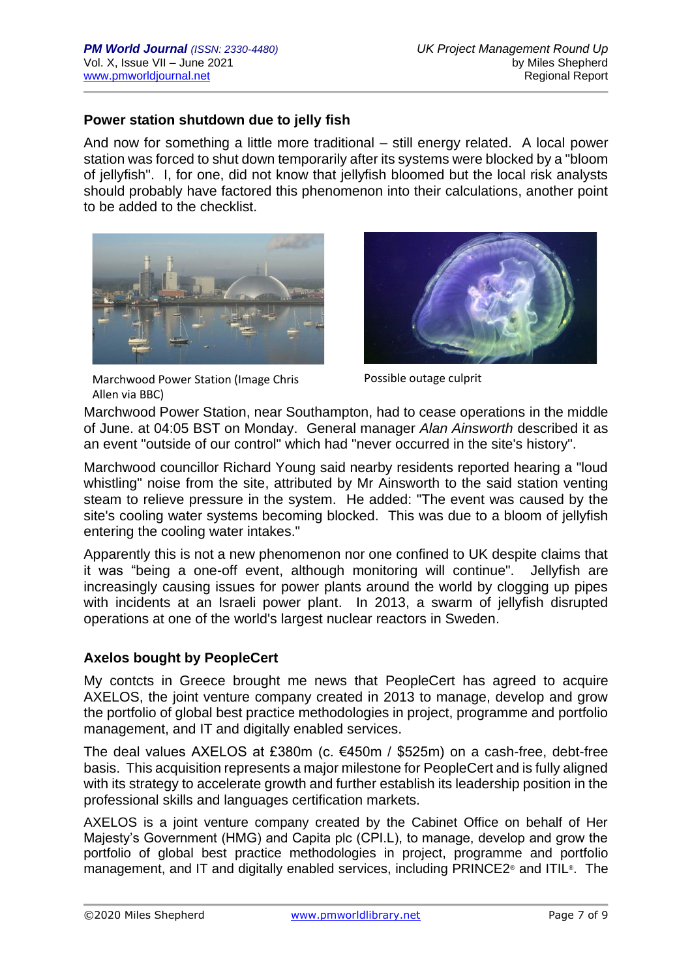## **Power station shutdown due to jelly fish**

And now for something a little more traditional – still energy related. A local power station was forced to shut down temporarily after its systems were blocked by a "bloom of jellyfish". I, for one, did not know that jellyfish bloomed but the local risk analysts should probably have factored this phenomenon into their calculations, another point to be added to the checklist.



Marchwood Power Station (Image Chris Allen via BBC)



Possible outage culprit

Marchwood Power Station, near Southampton, had to cease operations in the middle of June. at 04:05 BST on Monday. General manager *Alan Ainsworth* described it as an event "outside of our control" which had "never occurred in the site's history".

Marchwood councillor Richard Young said nearby residents reported hearing a "loud whistling" noise from the site, attributed by Mr Ainsworth to the said station venting steam to relieve pressure in the system. He added: "The event was caused by the site's cooling water systems becoming blocked. This was due to a bloom of jellyfish entering the cooling water intakes."

Apparently this is not a new phenomenon nor one confined to UK despite claims that it was "being a one-off event, although monitoring will continue". Jellyfish are increasingly causing issues for power plants around the world by clogging up pipes with incidents at an Israeli power plant. In 2013, a swarm of jellyfish disrupted operations at one of the world's largest nuclear reactors in Sweden.

## **Axelos bought by PeopleCert**

My contcts in Greece brought me news that PeopleCert has agreed to acquire AXELOS, the joint venture company created in 2013 to manage, develop and grow the portfolio of global best practice methodologies in project, programme and portfolio management, and IT and digitally enabled services.

The deal values AXELOS at £380m (c. €450m / \$525m) on a cash-free, debt-free basis. This acquisition represents a major milestone for PeopleCert and is fully aligned with its strategy to accelerate growth and further establish its leadership position in the professional skills and languages certification markets.

AXELOS is a joint venture company created by the Cabinet Office on behalf of Her Majesty's Government (HMG) and Capita plc (CPI.L), to manage, develop and grow the portfolio of global best practice methodologies in project, programme and portfolio management, and IT and digitally enabled services, including PRINCE2® and ITIL®. The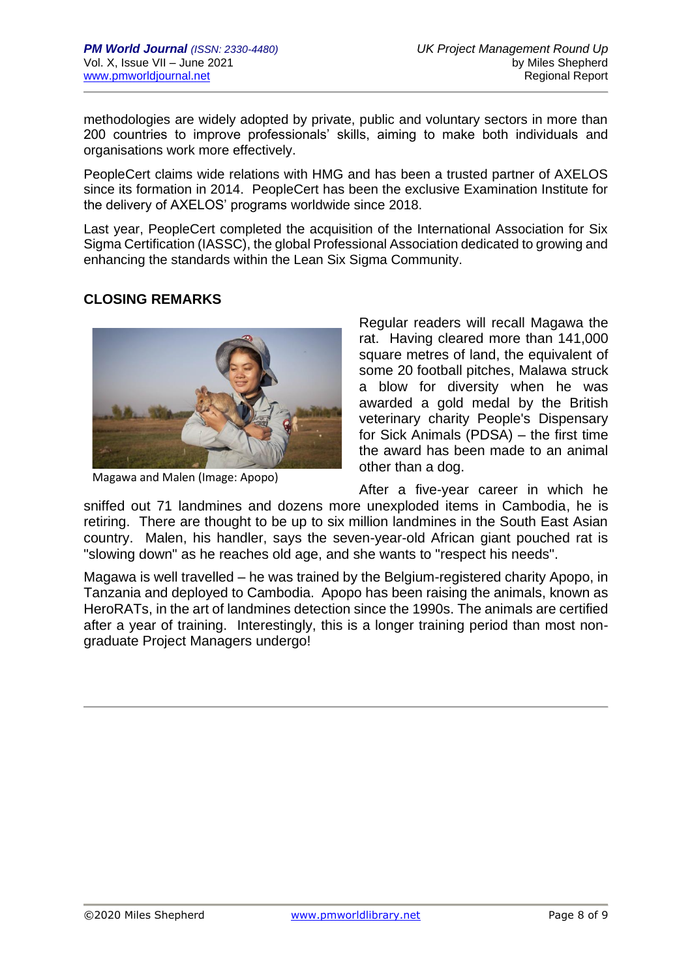methodologies are widely adopted by private, public and voluntary sectors in more than 200 countries to improve professionals' skills, aiming to make both individuals and organisations work more effectively.

PeopleCert claims wide relations with HMG and has been a trusted partner of AXELOS since its formation in 2014. PeopleCert has been the exclusive Examination Institute for the delivery of AXELOS' programs worldwide since 2018.

Last year, PeopleCert completed the acquisition of the International Association for Six Sigma Certification (IASSC), the global Professional Association dedicated to growing and enhancing the standards within the Lean Six Sigma Community.

# **CLOSING REMARKS**



Magawa and Malen (Image: Apopo)

Regular readers will recall Magawa the rat. Having cleared more than 141,000 square metres of land, the equivalent of some 20 football pitches, Malawa struck a blow for diversity when he was awarded a gold medal by the British veterinary charity People's Dispensary for Sick Animals (PDSA) – the first time the award has been made to an animal other than a dog.

After a five-year career in which he sniffed out 71 landmines and dozens more unexploded items in Cambodia, he is retiring. There are thought to be up to six million landmines in the South East Asian country. Malen, his handler, says the seven-year-old African giant pouched rat is "slowing down" as he reaches old age, and she wants to "respect his needs".

Magawa is well travelled – he was trained by the Belgium-registered charity Apopo, in Tanzania and deployed to Cambodia. Apopo has been raising the animals, known as HeroRATs, in the art of landmines detection since the 1990s. The animals are certified after a year of training. Interestingly, this is a longer training period than most nongraduate Project Managers undergo!